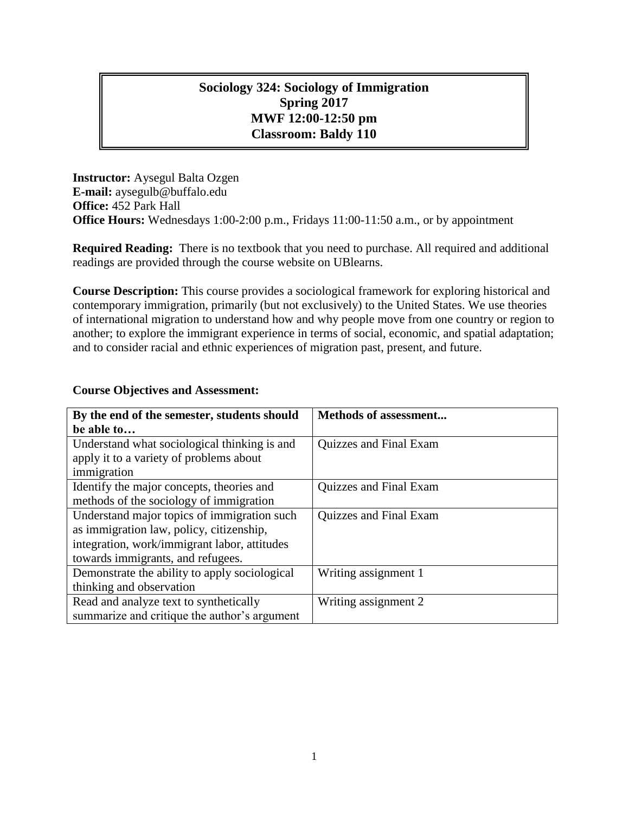# **Sociology 324: Sociology of Immigration Spring 2017 MWF 12:00-12:50 pm Classroom: Baldy 110**

**Instructor:** Aysegul Balta Ozgen **E-mail:** aysegulb@buffalo.edu **Office:** 452 Park Hall **Office Hours:** Wednesdays 1:00-2:00 p.m., Fridays 11:00-11:50 a.m., or by appointment

**Required Reading:** There is no textbook that you need to purchase. All required and additional readings are provided through the course website on UBlearns.

**Course Description:** This course provides a sociological framework for exploring historical and contemporary immigration, primarily (but not exclusively) to the United States. We use theories of international migration to understand how and why people move from one country or region to another; to explore the immigrant experience in terms of social, economic, and spatial adaptation; and to consider racial and ethnic experiences of migration past, present, and future.

#### **Course Objectives and Assessment:**

| By the end of the semester, students should   | <b>Methods of assessment</b> |
|-----------------------------------------------|------------------------------|
| be able to                                    |                              |
| Understand what sociological thinking is and  | Quizzes and Final Exam       |
| apply it to a variety of problems about       |                              |
| immigration                                   |                              |
| Identify the major concepts, theories and     | Quizzes and Final Exam       |
| methods of the sociology of immigration       |                              |
| Understand major topics of immigration such   | Quizzes and Final Exam       |
| as immigration law, policy, citizenship,      |                              |
| integration, work/immigrant labor, attitudes  |                              |
| towards immigrants, and refugees.             |                              |
| Demonstrate the ability to apply sociological | Writing assignment 1         |
| thinking and observation                      |                              |
| Read and analyze text to synthetically        | Writing assignment 2         |
| summarize and critique the author's argument  |                              |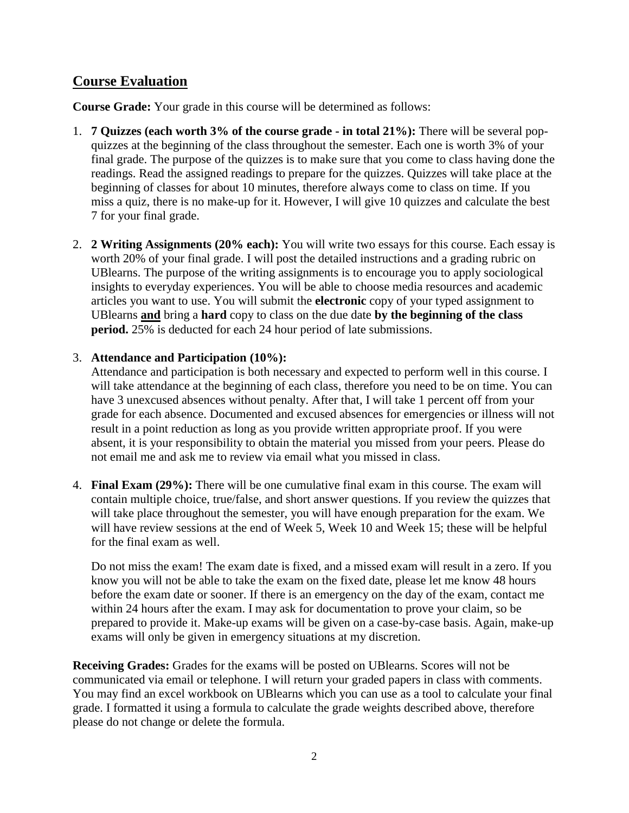## **Course Evaluation**

**Course Grade:** Your grade in this course will be determined as follows:

- 1. **7 Quizzes (each worth 3% of the course grade - in total 21%):** There will be several popquizzes at the beginning of the class throughout the semester. Each one is worth 3% of your final grade. The purpose of the quizzes is to make sure that you come to class having done the readings. Read the assigned readings to prepare for the quizzes. Quizzes will take place at the beginning of classes for about 10 minutes, therefore always come to class on time. If you miss a quiz, there is no make-up for it. However, I will give 10 quizzes and calculate the best 7 for your final grade.
- 2. **2 Writing Assignments (20% each):** You will write two essays for this course. Each essay is worth 20% of your final grade. I will post the detailed instructions and a grading rubric on UBlearns. The purpose of the writing assignments is to encourage you to apply sociological insights to everyday experiences. You will be able to choose media resources and academic articles you want to use. You will submit the **electronic** copy of your typed assignment to UBlearns **and** bring a **hard** copy to class on the due date **by the beginning of the class period.** 25% is deducted for each 24 hour period of late submissions.

## 3. **Attendance and Participation (10%):**

Attendance and participation is both necessary and expected to perform well in this course. I will take attendance at the beginning of each class, therefore you need to be on time. You can have 3 unexcused absences without penalty. After that, I will take 1 percent off from your grade for each absence. Documented and excused absences for emergencies or illness will not result in a point reduction as long as you provide written appropriate proof. If you were absent, it is your responsibility to obtain the material you missed from your peers. Please do not email me and ask me to review via email what you missed in class.

4. **Final Exam (29%):** There will be one cumulative final exam in this course. The exam will contain multiple choice, true/false, and short answer questions. If you review the quizzes that will take place throughout the semester, you will have enough preparation for the exam. We will have review sessions at the end of Week 5, Week 10 and Week 15; these will be helpful for the final exam as well.

Do not miss the exam! The exam date is fixed, and a missed exam will result in a zero. If you know you will not be able to take the exam on the fixed date, please let me know 48 hours before the exam date or sooner. If there is an emergency on the day of the exam, contact me within 24 hours after the exam. I may ask for documentation to prove your claim, so be prepared to provide it. Make-up exams will be given on a case-by-case basis. Again, make-up exams will only be given in emergency situations at my discretion.

**Receiving Grades:** Grades for the exams will be posted on UBlearns. Scores will not be communicated via email or telephone. I will return your graded papers in class with comments. You may find an excel workbook on UBlearns which you can use as a tool to calculate your final grade. I formatted it using a formula to calculate the grade weights described above, therefore please do not change or delete the formula.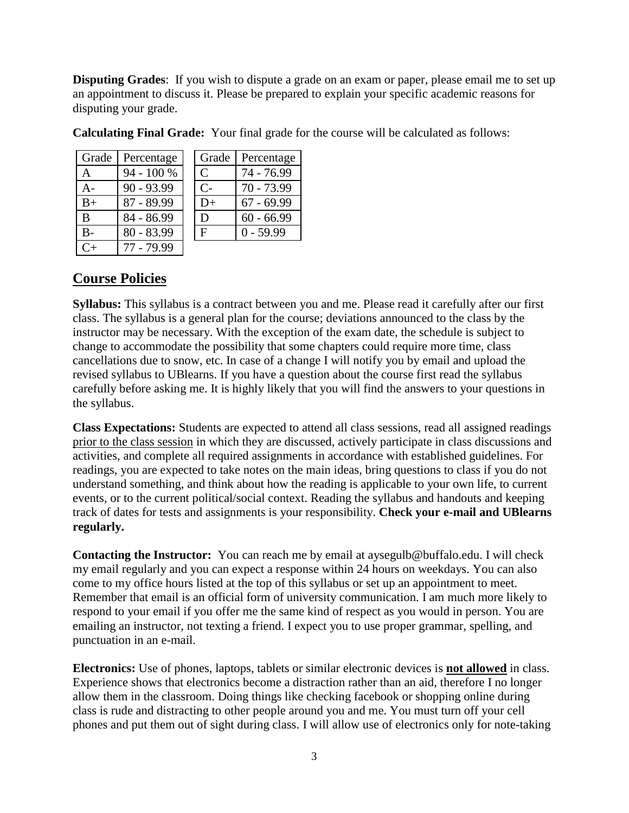**Disputing Grades:** If you wish to dispute a grade on an exam or paper, please email me to set up an appointment to discuss it. Please be prepared to explain your specific academic reasons for disputing your grade.

| Grade   | Percentage   | Grade         | Percentage   |
|---------|--------------|---------------|--------------|
| A       | 94 - 100 %   | $\mathcal{C}$ | 74 - 76.99   |
| A-      | $90 - 93.99$ | $C-$          | $70 - 73.99$ |
| $B+$    | $87 - 89.99$ | $D+$          | $67 - 69.99$ |
| B       | 84 - 86.99   | D             | $60 - 66.99$ |
| $B -$   | $80 - 83.99$ | $F_{\rm}$     | $0 - 59.99$  |
| $C_{+}$ | 77 - 79.99   |               |              |

**Calculating Final Grade:** Your final grade for the course will be calculated as follows:

# **Course Policies**

**Syllabus:** This syllabus is a contract between you and me. Please read it carefully after our first class. The syllabus is a general plan for the course; deviations announced to the class by the instructor may be necessary. With the exception of the exam date, the schedule is subject to change to accommodate the possibility that some chapters could require more time, class cancellations due to snow, etc. In case of a change I will notify you by email and upload the revised syllabus to UBlearns. If you have a question about the course first read the syllabus carefully before asking me. It is highly likely that you will find the answers to your questions in the syllabus.

**Class Expectations:** Students are expected to attend all class sessions, read all assigned readings prior to the class session in which they are discussed, actively participate in class discussions and activities, and complete all required assignments in accordance with established guidelines. For readings, you are expected to take notes on the main ideas, bring questions to class if you do not understand something, and think about how the reading is applicable to your own life, to current events, or to the current political/social context. Reading the syllabus and handouts and keeping track of dates for tests and assignments is your responsibility. **Check your e-mail and UBlearns regularly.** 

**Contacting the Instructor:** You can reach me by email at aysegulb@buffalo.edu. I will check my email regularly and you can expect a response within 24 hours on weekdays. You can also come to my office hours listed at the top of this syllabus or set up an appointment to meet. Remember that email is an official form of university communication. I am much more likely to respond to your email if you offer me the same kind of respect as you would in person. You are emailing an instructor, not texting a friend. I expect you to use proper grammar, spelling, and punctuation in an e-mail.

**Electronics:** Use of phones, laptops, tablets or similar electronic devices is **not allowed** in class. Experience shows that electronics become a distraction rather than an aid, therefore I no longer allow them in the classroom. Doing things like checking facebook or shopping online during class is rude and distracting to other people around you and me. You must turn off your cell phones and put them out of sight during class. I will allow use of electronics only for note-taking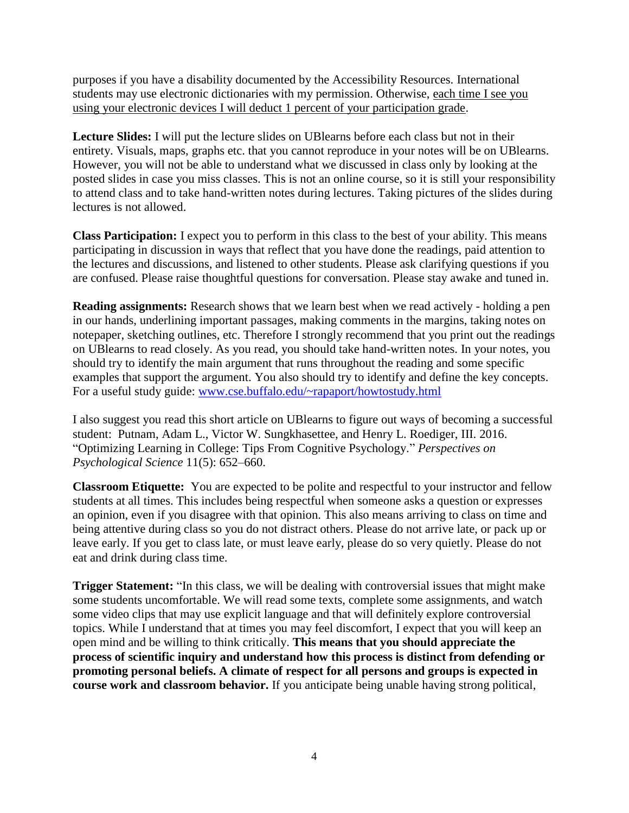purposes if you have a disability documented by the Accessibility Resources. International students may use electronic dictionaries with my permission. Otherwise, each time I see you using your electronic devices I will deduct 1 percent of your participation grade.

**Lecture Slides:** I will put the lecture slides on UBlearns before each class but not in their entirety. Visuals, maps, graphs etc. that you cannot reproduce in your notes will be on UBlearns. However, you will not be able to understand what we discussed in class only by looking at the posted slides in case you miss classes. This is not an online course, so it is still your responsibility to attend class and to take hand-written notes during lectures. Taking pictures of the slides during lectures is not allowed.

**Class Participation:** I expect you to perform in this class to the best of your ability. This means participating in discussion in ways that reflect that you have done the readings, paid attention to the lectures and discussions, and listened to other students. Please ask clarifying questions if you are confused. Please raise thoughtful questions for conversation. Please stay awake and tuned in.

**Reading assignments:** Research shows that we learn best when we read actively - holding a pen in our hands, underlining important passages, making comments in the margins, taking notes on notepaper, sketching outlines, etc. Therefore I strongly recommend that you print out the readings on UBlearns to read closely. As you read, you should take hand-written notes. In your notes, you should try to identify the main argument that runs throughout the reading and some specific examples that support the argument. You also should try to identify and define the key concepts. For a useful study guide: [www.cse.buffalo.edu/~rapaport/howtostudy.html](file:///C:/Users/kslee4/AppData/Local/Microsoft/Windows/Temporary%20Internet%20Files/Content.Outlook/CW8PMSWW/www.cse.buffalo.edu/~rapaport/howtostudy.html)

I also suggest you read this short article on UBlearns to figure out ways of becoming a successful student: Putnam, Adam L., Victor W. Sungkhasettee, and Henry L. Roediger, III. 2016. "Optimizing Learning in College: Tips From Cognitive Psychology." *Perspectives on Psychological Science* 11(5): 652–660.

**Classroom Etiquette:** You are expected to be polite and respectful to your instructor and fellow students at all times. This includes being respectful when someone asks a question or expresses an opinion, even if you disagree with that opinion. This also means arriving to class on time and being attentive during class so you do not distract others. Please do not arrive late, or pack up or leave early. If you get to class late, or must leave early, please do so very quietly. Please do not eat and drink during class time.

**Trigger Statement:** "In this class, we will be dealing with controversial issues that might make some students uncomfortable. We will read some texts, complete some assignments, and watch some video clips that may use explicit language and that will definitely explore controversial topics. While I understand that at times you may feel discomfort, I expect that you will keep an open mind and be willing to think critically. **This means that you should appreciate the process of scientific inquiry and understand how this process is distinct from defending or promoting personal beliefs. A climate of respect for all persons and groups is expected in course work and classroom behavior.** If you anticipate being unable having strong political,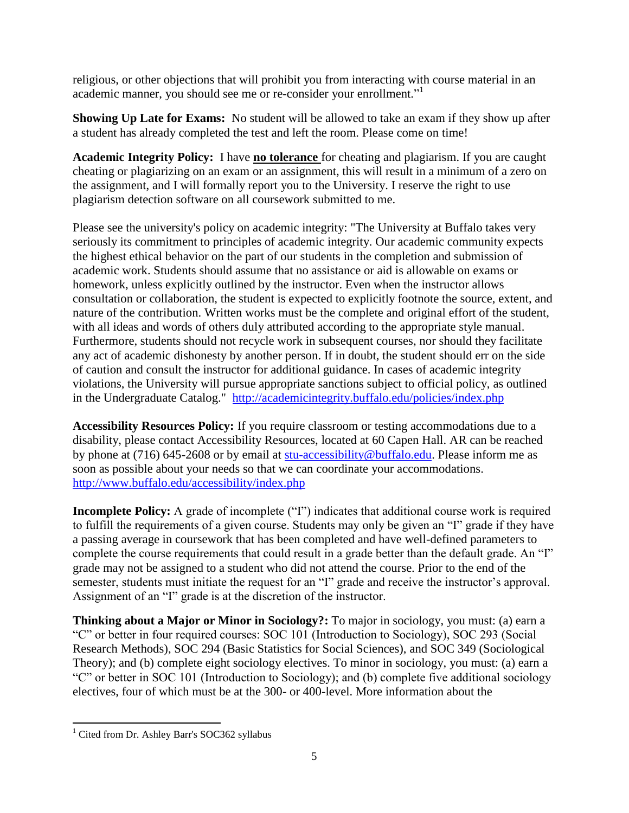religious, or other objections that will prohibit you from interacting with course material in an academic manner, you should see me or re-consider your enrollment."<sup>1</sup>

**Showing Up Late for Exams:** No student will be allowed to take an exam if they show up after a student has already completed the test and left the room. Please come on time!

**Academic Integrity Policy:** I have **no tolerance** for cheating and plagiarism. If you are caught cheating or plagiarizing on an exam or an assignment, this will result in a minimum of a zero on the assignment, and I will formally report you to the University. I reserve the right to use plagiarism detection software on all coursework submitted to me.

Please see the university's policy on academic integrity: "The University at Buffalo takes very seriously its commitment to principles of academic integrity. Our academic community expects the highest ethical behavior on the part of our students in the completion and submission of academic work. Students should assume that no assistance or aid is allowable on exams or homework, unless explicitly outlined by the instructor. Even when the instructor allows consultation or collaboration, the student is expected to explicitly footnote the source, extent, and nature of the contribution. Written works must be the complete and original effort of the student, with all ideas and words of others duly attributed according to the appropriate style manual. Furthermore, students should not recycle work in subsequent courses, nor should they facilitate any act of academic dishonesty by another person. If in doubt, the student should err on the side of caution and consult the instructor for additional guidance. In cases of academic integrity violations, the University will pursue appropriate sanctions subject to official policy, as outlined in the Undergraduate Catalog." <http://academicintegrity.buffalo.edu/policies/index.php>

**Accessibility Resources Policy:** If you require classroom or testing accommodations due to a disability, please contact Accessibility Resources, located at 60 Capen Hall. AR can be reached by phone at (716) 645-2608 or by email at [stu-accessibility@buffalo.edu.](mailto:stu-accessibility@buffalo.edu) Please inform me as soon as possible about your needs so that we can coordinate your accommodations. <http://www.buffalo.edu/accessibility/index.php>

**Incomplete Policy:** A grade of incomplete ("I") indicates that additional course work is required to fulfill the requirements of a given course. Students may only be given an "I" grade if they have a passing average in coursework that has been completed and have well-defined parameters to complete the course requirements that could result in a grade better than the default grade. An "I" grade may not be assigned to a student who did not attend the course. Prior to the end of the semester, students must initiate the request for an "I" grade and receive the instructor's approval. Assignment of an "I" grade is at the discretion of the instructor.

**Thinking about a Major or Minor in Sociology?:** To major in sociology, you must: (a) earn a "C" or better in four required courses: SOC 101 (Introduction to Sociology), SOC 293 (Social Research Methods), SOC 294 (Basic Statistics for Social Sciences), and SOC 349 (Sociological Theory); and (b) complete eight sociology electives. To minor in sociology, you must: (a) earn a "C" or better in SOC 101 (Introduction to Sociology); and (b) complete five additional sociology electives, four of which must be at the 300- or 400-level. More information about the

 $\overline{a}$ <sup>1</sup> Cited from Dr. Ashley Barr's SOC362 syllabus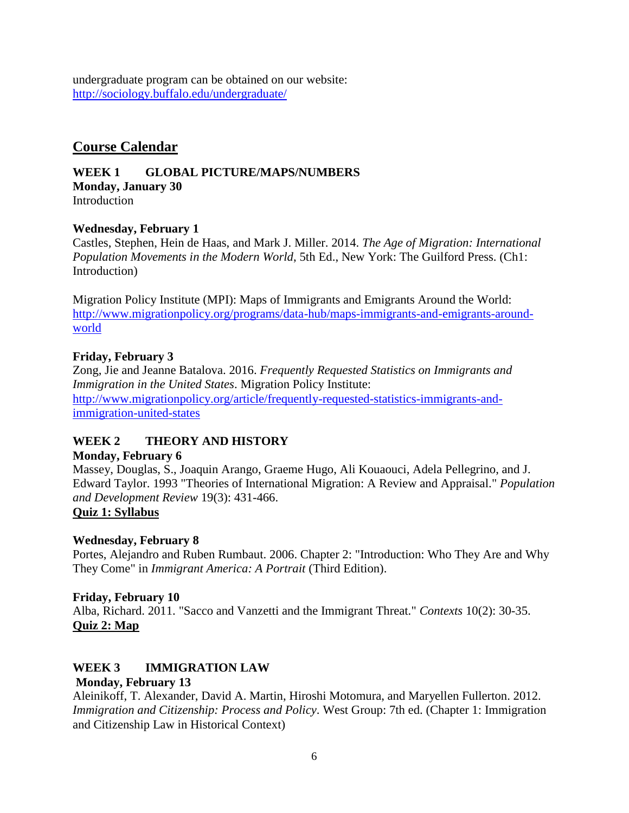undergraduate program can be obtained on our website: <http://sociology.buffalo.edu/undergraduate/>

## **Course Calendar**

**WEEK 1 GLOBAL PICTURE/MAPS/NUMBERS Monday, January 30 Introduction** 

## **Wednesday, February 1**

Castles, Stephen, Hein de Haas, and Mark J. Miller. 2014. *The Age of Migration: International Population Movements in the Modern World*, 5th Ed., New York: The Guilford Press. (Ch1: Introduction)

Migration Policy Institute (MPI): Maps of Immigrants and Emigrants Around the World: [http://www.migrationpolicy.org/programs/data-hub/maps-immigrants-and-emigrants-around](http://www.migrationpolicy.org/programs/data-hub/maps-immigrants-and-emigrants-around-world)[world](http://www.migrationpolicy.org/programs/data-hub/maps-immigrants-and-emigrants-around-world)

## **Friday, February 3**

Zong, Jie and Jeanne Batalova. 2016. *Frequently Requested Statistics on Immigrants and Immigration in the United States*. Migration Policy Institute: [http://www.migrationpolicy.org/article/frequently-requested-statistics-immigrants-and](http://www.migrationpolicy.org/article/frequently-requested-statistics-immigrants-and-immigration-united-states)[immigration-united-states](http://www.migrationpolicy.org/article/frequently-requested-statistics-immigrants-and-immigration-united-states)

## **WEEK 2 THEORY AND HISTORY**

## **Monday, February 6**

Massey, Douglas, S., Joaquin Arango, Graeme Hugo, Ali Kouaouci, Adela Pellegrino, and J. Edward Taylor. 1993 "Theories of International Migration: A Review and Appraisal." *Population and Development Review* 19(3): 431-466. **Quiz 1: Syllabus** 

# **Wednesday, February 8**

Portes, Alejandro and Ruben Rumbaut. 2006. Chapter 2: "Introduction: Who They Are and Why They Come" in *Immigrant America: A Portrait* (Third Edition).

## **Friday, February 10**

Alba, Richard. 2011. "Sacco and Vanzetti and the Immigrant Threat." *Contexts* 10(2): 30-35. **Quiz 2: Map**

#### **WEEK 3 IMMIGRATION LAW Monday, February 13**

Aleinikoff, T. Alexander, David A. Martin, Hiroshi Motomura, and Maryellen Fullerton. 2012. *Immigration and Citizenship: Process and Policy*. West Group: 7th ed. (Chapter 1: Immigration and Citizenship Law in Historical Context)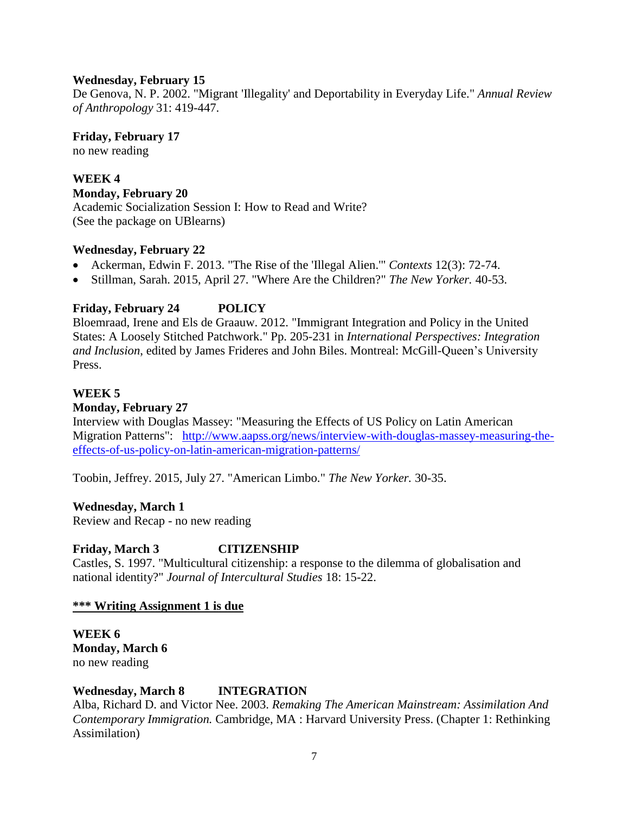#### **Wednesday, February 15**

De Genova, N. P. 2002. "Migrant 'Illegality' and Deportability in Everyday Life." *Annual Review of Anthropology* 31: 419-447.

**Friday, February 17**

no new reading

**WEEK 4 Monday, February 20** Academic Socialization Session I: How to Read and Write? (See the package on UBlearns)

## **Wednesday, February 22**

- Ackerman, Edwin F. 2013. "The Rise of the 'Illegal Alien.'" *Contexts* 12(3): 72-74.
- Stillman, Sarah. 2015, April 27. "Where Are the Children?" *The New Yorker.* 40-53.

## **Friday, February 24 POLICY**

Bloemraad, Irene and Els de Graauw. 2012. "Immigrant Integration and Policy in the United States: A Loosely Stitched Patchwork." Pp. 205-231 in *International Perspectives: Integration and Inclusion*, edited by James Frideres and John Biles. Montreal: McGill-Queen's University Press.

## **WEEK 5**

#### **Monday, February 27**

Interview with Douglas Massey: "Measuring the Effects of US Policy on Latin American Migration Patterns": [http://www.aapss.org/news/interview-with-douglas-massey-measuring-the](http://www.aapss.org/news/interview-with-douglas-massey-measuring-the-effects-of-us-policy-on-latin-american-migration-patterns/)[effects-of-us-policy-on-latin-american-migration-patterns/](http://www.aapss.org/news/interview-with-douglas-massey-measuring-the-effects-of-us-policy-on-latin-american-migration-patterns/)

Toobin, Jeffrey. 2015, July 27. "American Limbo." *The New Yorker.* 30-35.

#### **Wednesday, March 1**

Review and Recap - no new reading

#### **Friday, March 3 CITIZENSHIP**

Castles, S. 1997. "Multicultural citizenship: a response to the dilemma of globalisation and national identity?" *Journal of Intercultural Studies* 18: 15-22.

#### **\*\*\* Writing Assignment 1 is due**

**WEEK 6 Monday, March 6** no new reading

## **Wednesday, March 8 INTEGRATION**

Alba, Richard D. and Victor Nee. 2003. *Remaking The American Mainstream: Assimilation And Contemporary Immigration.* Cambridge, MA : Harvard University Press. (Chapter 1: Rethinking Assimilation)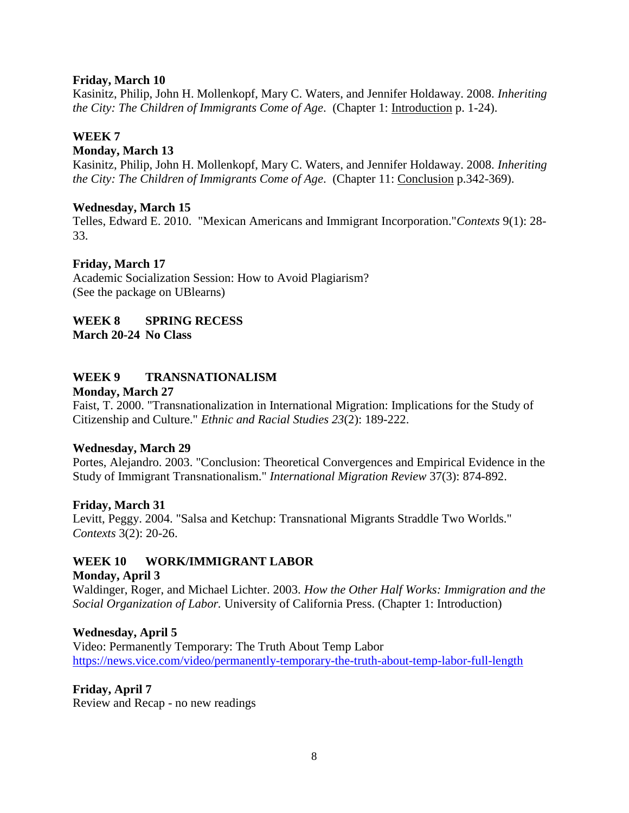#### **Friday, March 10**

Kasinitz, Philip, John H. Mollenkopf, Mary C. Waters, and Jennifer Holdaway. 2008. *Inheriting the City: The Children of Immigrants Come of Age*. (Chapter 1: Introduction p. 1-24).

#### **WEEK 7**

#### **Monday, March 13**

Kasinitz, Philip, John H. Mollenkopf, Mary C. Waters, and Jennifer Holdaway. 2008. *Inheriting the City: The Children of Immigrants Come of Age*. (Chapter 11: Conclusion p.342-369).

#### **Wednesday, March 15**

Telles, Edward E. 2010. "Mexican Americans and Immigrant Incorporation."*Contexts* 9(1): 28- 33.

#### **Friday, March 17**

Academic Socialization Session: How to Avoid Plagiarism? (See the package on UBlearns)

#### **WEEK 8 SPRING RECESS March 20-24 No Class**

## **WEEK 9 TRANSNATIONALISM**

#### **Monday, March 27**

Faist, T. 2000. "Transnationalization in International Migration: Implications for the Study of Citizenship and Culture." *Ethnic and Racial Studies 23*(2): 189-222.

#### **Wednesday, March 29**

Portes, Alejandro. 2003. "Conclusion: Theoretical Convergences and Empirical Evidence in the Study of Immigrant Transnationalism." *International Migration Review* 37(3): 874-892.

#### **Friday, March 31**

Levitt, Peggy. 2004. "Salsa and Ketchup: Transnational Migrants Straddle Two Worlds." *Contexts* 3(2): 20-26.

#### **WEEK 10 WORK/IMMIGRANT LABOR**

#### **Monday, April 3**

Waldinger, Roger, and Michael Lichter. 2003. *How the Other Half Works: Immigration and the Social Organization of Labor.* University of California Press. (Chapter 1: Introduction)

#### **Wednesday, April 5**

Video: Permanently Temporary: The Truth About Temp Labor <https://news.vice.com/video/permanently-temporary-the-truth-about-temp-labor-full-length>

#### **Friday, April 7**

Review and Recap - no new readings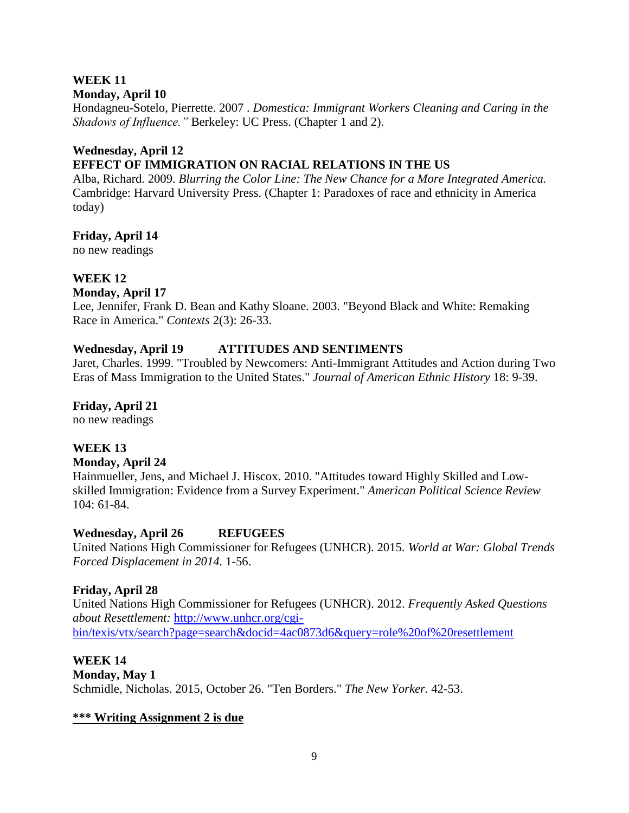## **WEEK 11**

## **Monday, April 10**

Hondagneu-Sotelo, Pierrette. 2007 . *Domestica: Immigrant Workers Cleaning and Caring in the Shadows of Influence."* Berkeley: UC Press. (Chapter 1 and 2).

## **Wednesday, April 12 EFFECT OF IMMIGRATION ON RACIAL RELATIONS IN THE US**

Alba, Richard. 2009. *Blurring the Color Line: The New Chance for a More Integrated America.* Cambridge: Harvard University Press. (Chapter 1: Paradoxes of race and ethnicity in America today)

**Friday, April 14**

no new readings

## **WEEK 12**

**Monday, April 17**

Lee, Jennifer, Frank D. Bean and Kathy Sloane. 2003. "Beyond Black and White: Remaking Race in America." *Contexts* 2(3): 26-33.

## **Wednesday, April 19 ATTITUDES AND SENTIMENTS**

Jaret, Charles. 1999. "Troubled by Newcomers: Anti-Immigrant Attitudes and Action during Two Eras of Mass Immigration to the United States." *Journal of American Ethnic History* 18: 9-39.

**Friday, April 21**

no new readings

## **WEEK 13**

#### **Monday, April 24**

Hainmueller, Jens, and Michael J. Hiscox. 2010. "Attitudes toward Highly Skilled and Lowskilled Immigration: Evidence from a Survey Experiment." *American Political Science Review*  104: 61-84.

## **Wednesday, April 26 REFUGEES**

United Nations High Commissioner for Refugees (UNHCR). 2015. *World at War: Global Trends Forced Displacement in 2014.* 1-56.

## **Friday, April 28**

United Nations High Commissioner for Refugees (UNHCR). 2012. *Frequently Asked Questions about Resettlement:* [http://www.unhcr.org/cgi](http://www.unhcr.org/cgi-bin/texis/vtx/search?page=search&docid=4ac0873d6&query=role%20of%20resettlement)[bin/texis/vtx/search?page=search&docid=4ac0873d6&query=role%20of%20resettlement](http://www.unhcr.org/cgi-bin/texis/vtx/search?page=search&docid=4ac0873d6&query=role%20of%20resettlement)

**WEEK 14 Monday, May 1** Schmidle, Nicholas. 2015, October 26. "Ten Borders." *The New Yorker.* 42-53.

## **\*\*\* Writing Assignment 2 is due**